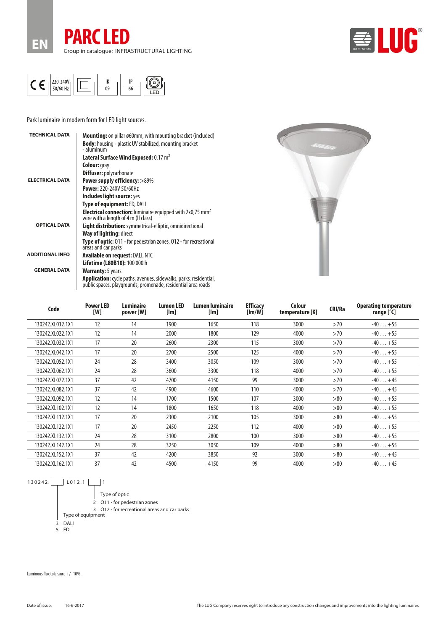





Park luminaire in modern form for LED light sources.

| <b>TECHNICAL DATA</b>  | <b>Mounting:</b> on pillar ø60mm, with mounting bracket (included)                                                                        |
|------------------------|-------------------------------------------------------------------------------------------------------------------------------------------|
|                        | <b>Body:</b> housing - plastic UV stabilized, mounting bracket<br>- aluminum                                                              |
|                        | Lateral Surface Wind Exposed: 0,17 m <sup>2</sup>                                                                                         |
|                        | <b>Colour:</b> gray                                                                                                                       |
|                        | <b>Diffuser:</b> polycarbonate                                                                                                            |
| <b>ELECTRICAL DATA</b> | <b>Power supply efficiency: &gt;89%</b>                                                                                                   |
|                        | <b>Power: 220-240V 50/60Hz</b>                                                                                                            |
|                        | Includes light source: yes                                                                                                                |
|                        | Type of equipment: ED, DALI                                                                                                               |
|                        | <b>Electrical connection:</b> luminaire equipped with $2x0.75$ mm <sup>2</sup><br>wire with a length of 4 m (II class)                    |
| <b>OPTICAL DATA</b>    | Light distribution: symmetrical-elliptic, omnidirectional                                                                                 |
|                        | Way of lighting: direct                                                                                                                   |
|                        | Type of optic: 011 - for pedestrian zones, 012 - for recreational<br>areas and car parks                                                  |
| <b>ADDITIONAL INFO</b> | <b>Available on request: DALI, NTC</b>                                                                                                    |
|                        | <b>Lifetime (L80B10): 100 000 h</b>                                                                                                       |
| <b>GENERAL DATA</b>    | <b>Warranty:</b> 5 years                                                                                                                  |
|                        | <b>Application:</b> cycle paths, avenues, sidewalks, parks, residential,<br>public spaces, playgrounds, promenade, residential area roads |



| Code             | <b>Power LED</b><br>[W] | Luminaire<br>power [W] | Lumen LED<br>[Im] | Lumen luminaire<br>[Im] | <b>Efficacy</b><br>[Im/W] | Colour<br>temperature [K] | CRI/Ra | <b>Operating temperature</b><br>range $[°C]$ |
|------------------|-------------------------|------------------------|-------------------|-------------------------|---------------------------|---------------------------|--------|----------------------------------------------|
| 130242.XL012.1X1 | 12                      | 14                     | 1900              | 1650                    | 118                       | 3000                      | >70    | $-40+55$                                     |
| 130242.XL022.1X1 | 12                      | 14                     | 2000              | 1800                    | 129                       | 4000                      | >70    | $-40+55$                                     |
| 130242.XL032.1X1 | 17                      | 20                     | 2600              | 2300                    | 115                       | 3000                      | >70    | $-40+55$                                     |
| 130242.XL042.1X1 | 17                      | 20                     | 2700              | 2500                    | 125                       | 4000                      | >70    | $-40+55$                                     |
| 130242.XL052.1X1 | 24                      | 28                     | 3400              | 3050                    | 109                       | 3000                      | >70    | $-40+55$                                     |
| 130242.XL062.1X1 | 24                      | 28                     | 3600              | 3300                    | 118                       | 4000                      | >70    | $-40+55$                                     |
| 130242.XL072.1X1 | 37                      | 42                     | 4700              | 4150                    | 99                        | 3000                      | >70    | $-40+45$                                     |
| 130242.XL082.1X1 | 37                      | 42                     | 4900              | 4600                    | 110                       | 4000                      | >70    | $-40+45$                                     |
| 130242.XL092.1X1 | 12                      | 14                     | 1700              | 1500                    | 107                       | 3000                      | >80    | $-40+55$                                     |
| 130242.XL102.1X1 | 12                      | 14                     | 1800              | 1650                    | 118                       | 4000                      | >80    | $-40+55$                                     |
| 130242.XL112.1X1 | 17                      | 20                     | 2300              | 2100                    | 105                       | 3000                      | > 80   | $-40+55$                                     |
| 130242.XL122.1X1 | 17                      | 20                     | 2450              | 2250                    | 112                       | 4000                      | >80    | $-40+55$                                     |
| 130242.XL132.1X1 | 24                      | 28                     | 3100              | 2800                    | 100                       | 3000                      | >80    | $-40+55$                                     |
| 130242.XL142.1X1 | 24                      | 28                     | 3250              | 3050                    | 109                       | 4000                      | >80    | $-40+55$                                     |
| 130242.XL152.1X1 | 37                      | 42                     | 4200              | 3850                    | 92                        | 3000                      | >80    | $-40+45$                                     |
| 130242.XL162.1X1 | 37                      | 42                     | 4500              | 4150                    | 99                        | 4000                      | >80    | $-40+45$                                     |

 $130242.$  L012.1 1 Type of optic 2 O11 - for pedestrian zones 3 O12 - for recreational areas and car parks Type of equipment



Luminous flux tolerance +/- 10%.